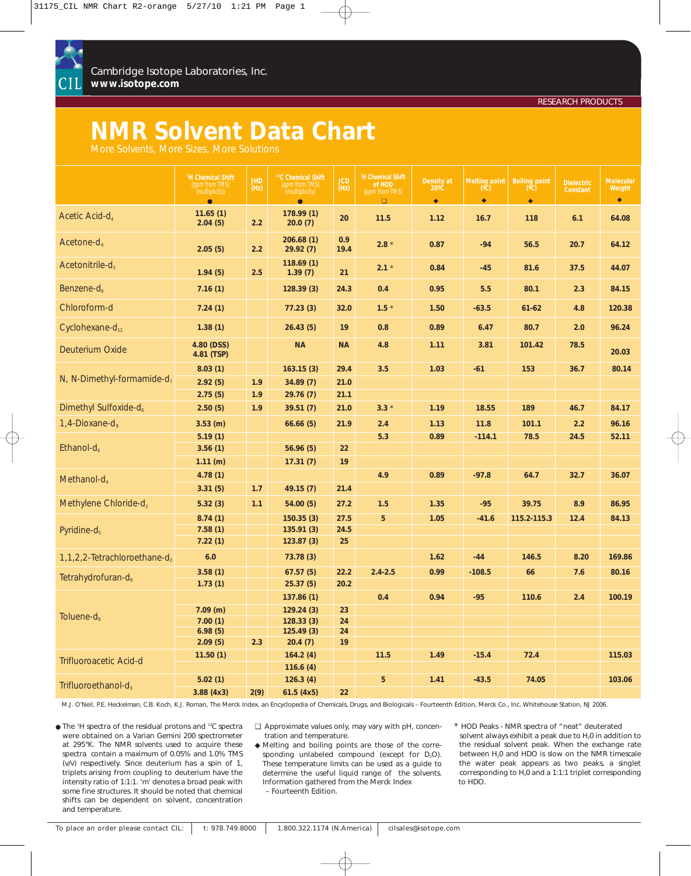

Cambridge Isotope Laboratories, Inc. **www.isotope.com**

# **NMR Solvent Data Chart**

|                                        | <sup>1</sup> H Chemical Shift<br>(ppm from TMS)<br>(multiplicity)<br>$\bullet$ | <b>JHD</b><br>(Hz) | <sup>13</sup> C Chemical Shift<br>(ppm from TMS)<br>(multiplicity)<br>$\bullet$ | <b>JCD</b><br>(Hz)   | <sup>1</sup> H Chemical Shift<br>of HOD<br>(ppm from TMS)<br>$\Box$ | Density at<br>$20^{\circ}$ C<br>$\bullet$ | <b>Melting point</b><br>(°Č)<br>$\bullet$ | <b>Boiling point</b><br>(°C)<br>$\bullet$ | Dielectric<br>Constant | <b>Molecular</b><br>Weight<br>$\blacklozenge$ |
|----------------------------------------|--------------------------------------------------------------------------------|--------------------|---------------------------------------------------------------------------------|----------------------|---------------------------------------------------------------------|-------------------------------------------|-------------------------------------------|-------------------------------------------|------------------------|-----------------------------------------------|
| Acetic Acid-d <sub>4</sub>             | 11.65(1)<br>2.04(5)                                                            | 2.2                | 178.99(1)<br>20.0(7)                                                            | 20                   | 11.5                                                                | 1.12                                      | 16.7                                      | 118                                       | 6.1                    | 64.08                                         |
| Acetone- $d_{6}$                       | 2.05(5)                                                                        | 2.2                | 206.68(1)<br>29.92(7)                                                           | 0.9<br>19.4          | $2.8 *$                                                             | 0.87                                      | $-94$                                     | 56.5                                      | 20.7                   | 64.12                                         |
| Acetonitrile- $d_3$                    | 1.94(5)                                                                        | 2.5                | 118.69(1)<br>1.39(7)                                                            | 21                   | $2.1 *$                                                             | 0.84                                      | $-45$                                     | 81.6                                      | 37.5                   | 44.07                                         |
| Benzene- $d_{6}$                       | 7.16(1)                                                                        |                    | 128.39(3)                                                                       | 24.3                 | 0.4                                                                 | 0.95                                      | 5.5                                       | 80.1                                      | 2.3                    | 84.15                                         |
| Chloroform-d                           | 7.24(1)                                                                        |                    | 77.23(3)                                                                        | 32.0                 | $1.5 *$                                                             | 1.50                                      | $-63.5$                                   | $61 - 62$                                 | 4.8                    | 120.38                                        |
| Cyclohexane- $d_{12}$                  | 1.38(1)                                                                        |                    | 26.43(5)                                                                        | 19                   | 0.8                                                                 | 0.89                                      | 6.47                                      | 80.7                                      | 2.0                    | 96.24                                         |
| Deuterium Oxide                        | 4.80 (DSS)<br>4.81 (TSP)                                                       |                    | <b>NA</b>                                                                       | <b>NA</b>            | 4.8                                                                 | 1.11                                      | 3.81                                      | 101.42                                    | 78.5                   | 20.03                                         |
| N, N-Dimethyl-formamide-d <sub>7</sub> | 8.03(1)<br>2.92(5)<br>2.75(5)                                                  | 1.9<br>1.9         | 163.15(3)<br>34.89(7)<br>29.76(7)                                               | 29.4<br>21.0<br>21.1 | 3.5                                                                 | 1.03                                      | $-61$                                     | 153                                       | 36.7                   | 80.14                                         |
| Dimethyl Sulfoxide-d <sub>6</sub>      | 2.50(5)                                                                        | 1.9                | 39.51(7)                                                                        | 21.0                 | $3.3*$                                                              | 1.19                                      | 18.55                                     | 189                                       | 46.7                   | 84.17                                         |
| 1,4-Dioxane-d $_{8}$                   | $3.53$ (m)                                                                     |                    | 66.66(5)                                                                        | 21.9                 | 2.4                                                                 | 1.13                                      | 11.8                                      | 101.1                                     | 2.2                    | 96.16                                         |
| Ethanol- $d_6$                         | 5.19(1)<br>3.56(1)                                                             |                    | 56.96(5)                                                                        | 22                   | 5.3                                                                 | 0.89                                      | $-114.1$                                  | 78.5                                      | 24.5                   | 52.11                                         |
| Methanol- $d_4$                        | 1.11 (m)<br>4.78(1)<br>3.31(5)                                                 | 1.7                | 17.31(7)<br>49.15(7)                                                            | 19<br>21.4           | 4.9                                                                 | 0.89                                      | $-97.8$                                   | 64.7                                      | 32.7                   | 36.07                                         |
| Methylene Chloride-d <sub>2</sub>      | 5.32(3)                                                                        | 1.1                | 54.00(5)                                                                        | 27.2                 | 1.5                                                                 | 1.35                                      | $-95$                                     | 39.75                                     | 8.9                    | 86.95                                         |
| Pyridine- $d_5$                        | 8.74(1)<br>7.58(1)<br>7.22(1)                                                  |                    | 150.35(3)<br>135.91(3)<br>123.87(3)                                             | 27.5<br>24.5<br>25   | 5                                                                   | 1.05                                      | $-41.6$                                   | 115.2-115.3                               | 12.4                   | 84.13                                         |
| 1, 1, 2, 2-Tetrachloroethane-d,        | 6.0                                                                            |                    | 73.78(3)                                                                        |                      |                                                                     | 1.62                                      | $-44$                                     | 146.5                                     | 8.20                   | 169.86                                        |
| Tetrahydrofuran-d <sub>8</sub>         | 3.58(1)<br>1.73(1)                                                             |                    | 67.57(5)<br>25.37(5)                                                            | 22.2<br>20.2         | $2.4 - 2.5$                                                         | 0.99                                      | $-108.5$                                  | 66                                        | 7.6                    | 80.16                                         |
| Toluene- $d_8$                         | $7.09$ (m)<br>7.00(1)<br>6.98(5)<br>2.09(5)                                    | 2.3                | 137.86(1)<br>129.24(3)<br>128.33(3)<br>125.49(3)<br>20.4(7)                     | 23<br>24<br>24<br>19 | 0.4                                                                 | 0.94                                      | $-95$                                     | 110.6                                     | 2.4                    | 100.19                                        |
| Trifluoroacetic Acid-d                 | 11.50(1)                                                                       |                    | 164.2(4)<br>116.6(4)                                                            |                      | 11.5                                                                | 1.49                                      | $-15.4$                                   | 72.4                                      |                        | 115.03                                        |
| Trifluoroethanol- $d_3$                | 5.02(1)<br>3.88(4x3)                                                           | 2(9)               | 126.3(4)<br>61.5(4x5)                                                           | 22                   | 5                                                                   | 1.41                                      | $-43.5$                                   | 74.05                                     |                        | 103.06                                        |

M.J. O'Neil, P.E. Heckelman, C.B. Koch, K.J. Roman, *The Merck Index*, an Encyclopedia of Chemicals, Drugs, and Biologicals – Fourteenth Edition, Merck Co., Inc. Whitehouse Station, NJ 2006.

● The <sup>1</sup>H spectra of the residual protons and <sup>13</sup>C spectra were obtained on a Varian Gemini 200 spectrometer at 295°K. The NMR solvents used to acquire these spectra contain a maximum of 0.05% and 1.0% TMS (v/v) respectively. Since deuterium has a spin of 1, triplets arising from coupling to deuterium have the intensity ratio of 1:1:1. 'm' denotes a broad peak with some fine structures. It should be noted that chemical shifts can be dependent on solvent, concentration and temperature.

❑ Approximate values only, may vary with pH, concentration and temperature.

◆ Melting and boiling points are those of the corresponding unlabeled compound (except for  $D_2O$ ). These temperature limits can be used as a guide to determine the useful liquid range of the solvents. Information gathered from the Merck Index – Fourteenth Edition.

\* HOD Peaks - NMR spectra of "neat" deuterated solvent always exhibit a peak due to  $H_2$ 0 in addition to the residual solvent peak. When the exchange rate between H<sub>2</sub>0 and HDO is slow on the NMR timescale the water peak appears as two peaks, a singlet corresponding to H<sub>2</sub>0 and a 1:1:1 triplet corresponding to HDO.

RESEARCH PRODUCTS